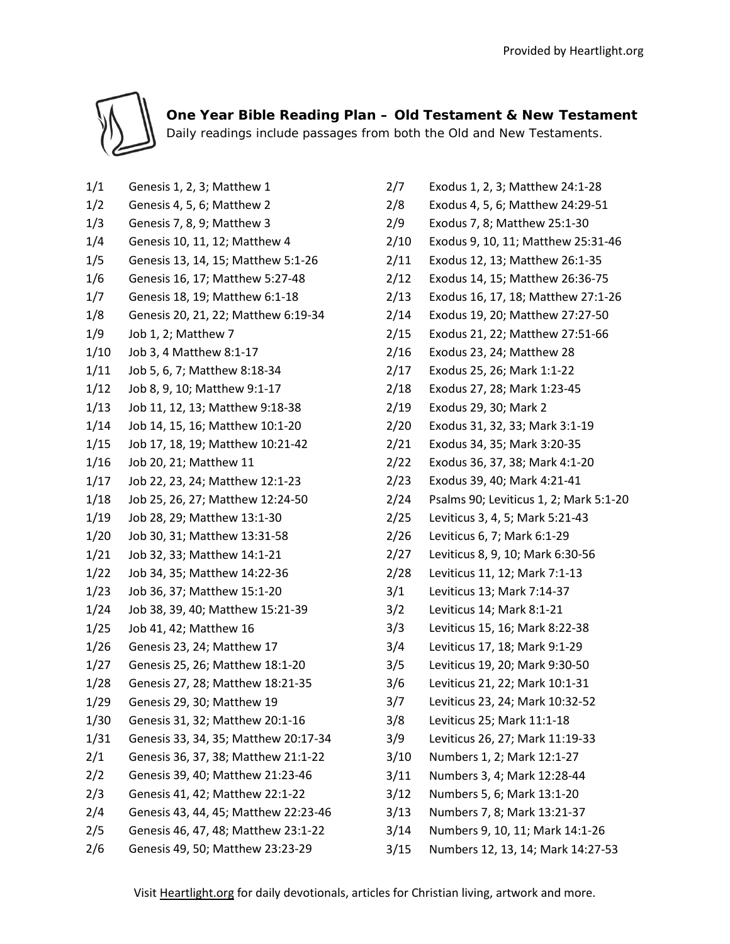

 **One Year Bible Reading Plan – Old Testament & New Testament** Daily readings include passages from both the Old and New Testaments.

- 1/1 Genesis 1, 2, 3; Matthew 1
- 1/2 Genesis 4, 5, 6; Matthew 2
- 1/3 Genesis 7, 8, 9; Matthew 3
- 1/4 Genesis 10, 11, 12; Matthew 4
- 1/5 Genesis 13, 14, 15; Matthew 5:1-26
- 1/6 Genesis 16, 17; Matthew 5:27-48
- 1/7 Genesis 18, 19; Matthew 6:1-18
- 1/8 Genesis 20, 21, 22; Matthew 6:19-34
- 1/9 Job 1, 2; Matthew 7
- 1/10 Job 3, 4 Matthew 8:1-17
- 1/11 Job 5, 6, 7; Matthew 8:18-34
- 1/12 Job 8, 9, 10; Matthew 9:1-17
- 1/13 Job 11, 12, 13; Matthew 9:18-38
- 1/14 Job 14, 15, 16; Matthew 10:1-20
- 1/15 Job 17, 18, 19; Matthew 10:21-42
- 1/16 Job 20, 21; Matthew 11
- 1/17 Job 22, 23, 24; Matthew 12:1-23
- 1/18 Job 25, 26, 27; Matthew 12:24-50
- 1/19 Job 28, 29; Matthew 13:1-30
- 1/20 Job 30, 31; Matthew 13:31-58
- 1/21 Job 32, 33; Matthew 14:1-21
- 1/22 Job 34, 35; Matthew 14:22-36
- 1/23 Job 36, 37; Matthew 15:1-20
- 1/24 Job 38, 39, 40; Matthew 15:21-39
- 1/25 Job 41, 42; Matthew 16
- 1/26 Genesis 23, 24; Matthew 17
- 1/27 Genesis 25, 26; Matthew 18:1-20
- 1/28 Genesis 27, 28; Matthew 18:21-35
- 1/29 Genesis 29, 30; Matthew 19
- 1/30 Genesis 31, 32; Matthew 20:1-16
- 1/31 Genesis 33, 34, 35; Matthew 20:17-34
- 2/1 Genesis 36, 37, 38; Matthew 21:1-22
- 2/2 Genesis 39, 40; Matthew 21:23-46
- 2/3 Genesis 41, 42; Matthew 22:1-22
- 2/4 Genesis 43, 44, 45; Matthew 22:23-46
- 2/5 Genesis 46, 47, 48; Matthew 23:1-22
- 2/6 Genesis 49, 50; Matthew 23:23-29
- 2/7 Exodus 1, 2, 3; Matthew 24:1-28
- 2/8 Exodus 4, 5, 6; Matthew 24:29-51
- 2/9 Exodus 7, 8; Matthew 25:1-30
- 2/10 Exodus 9, 10, 11; Matthew 25:31-46
- 2/11 Exodus 12, 13; Matthew 26:1-35
- 2/12 Exodus 14, 15; Matthew 26:36-75
- 2/13 Exodus 16, 17, 18; Matthew 27:1-26
- 2/14 Exodus 19, 20; Matthew 27:27-50
- 2/15 Exodus 21, 22; Matthew 27:51-66
- 2/16 Exodus 23, 24; Matthew 28
- 2/17 Exodus 25, 26; Mark 1:1-22
- 2/18 Exodus 27, 28; Mark 1:23-45
- 2/19 Exodus 29, 30; Mark 2
- 2/20 Exodus 31, 32, 33; Mark 3:1-19
- 2/21 Exodus 34, 35; Mark 3:20-35
- 2/22 Exodus 36, 37, 38; Mark 4:1-20
- 2/23 Exodus 39, 40; Mark 4:21-41
- 2/24 Psalms 90; Leviticus 1, 2; Mark 5:1-20
- 2/25 Leviticus 3, 4, 5; Mark 5:21-43
- 2/26 Leviticus 6, 7; Mark 6:1-29
- 2/27 Leviticus 8, 9, 10; Mark 6:30-56
- 2/28 Leviticus 11, 12; Mark 7:1-13
- 3/1 Leviticus 13; Mark 7:14-37
- 3/2 Leviticus 14; Mark 8:1-21
- 3/3 Leviticus 15, 16; Mark 8:22-38
- 3/4 Leviticus 17, 18; Mark 9:1-29
- 3/5 Leviticus 19, 20; Mark 9:30-50
- 3/6 Leviticus 21, 22; Mark 10:1-31
- 3/7 Leviticus 23, 24; Mark 10:32-52
- 3/8 Leviticus 25; Mark 11:1-18
- 3/9 Leviticus 26, 27; Mark 11:19-33
- 3/10 Numbers 1, 2; Mark 12:1-27
- 3/11 Numbers 3, 4; Mark 12:28-44
- 3/12 Numbers 5, 6; Mark 13:1-20
- 3/13 Numbers 7, 8; Mark 13:21-37
- 3/14 Numbers 9, 10, 11; Mark 14:1-26
- 3/15 Numbers 12, 13, 14; Mark 14:27-53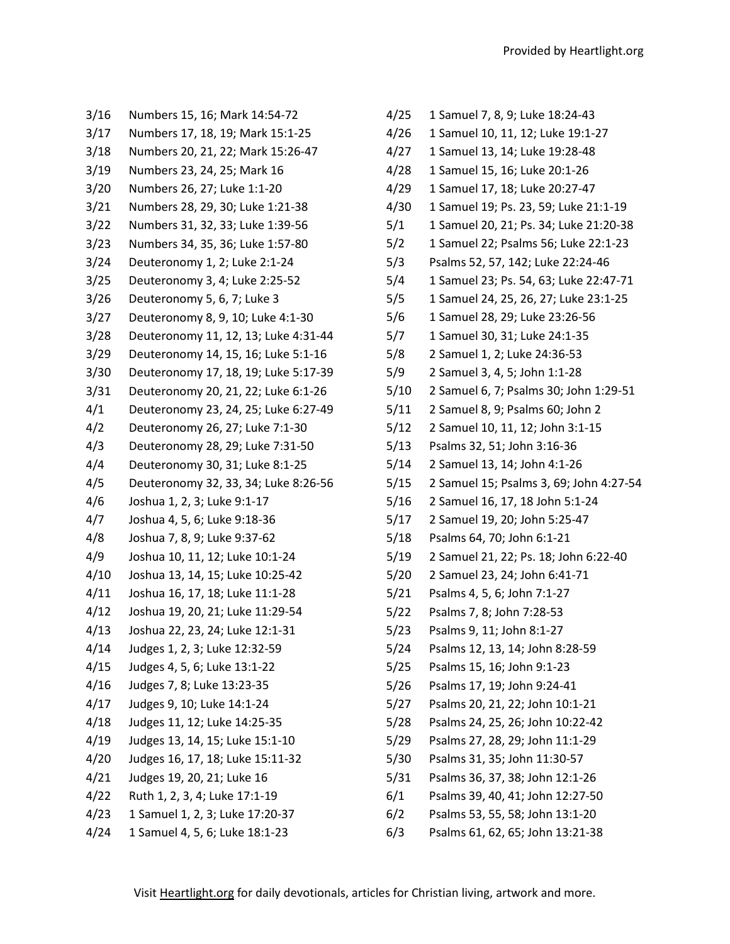- 3/16 Numbers 15, 16; Mark 14:54-72 3/17 Numbers 17, 18, 19; Mark 15:1-25 3/18 Numbers 20, 21, 22; Mark 15:26-47 3/19 Numbers 23, 24, 25; Mark 16 3/20 Numbers 26, 27; Luke 1:1-20 3/21 Numbers 28, 29, 30; Luke 1:21-38 3/22 Numbers 31, 32, 33; Luke 1:39-56 3/23 Numbers 34, 35, 36; Luke 1:57-80 3/24 Deuteronomy 1, 2; Luke 2:1-24 3/25 Deuteronomy 3, 4; Luke 2:25-52 3/26 Deuteronomy 5, 6, 7; Luke 3 3/27 Deuteronomy 8, 9, 10; Luke 4:1-30 3/28 Deuteronomy 11, 12, 13; Luke 4:31-44 3/29 Deuteronomy 14, 15, 16; Luke 5:1-16 3/30 Deuteronomy 17, 18, 19; Luke 5:17-39 3/31 Deuteronomy 20, 21, 22; Luke 6:1-26 4/1 Deuteronomy 23, 24, 25; Luke 6:27-49 4/2 Deuteronomy 26, 27; Luke 7:1-30 4/3 Deuteronomy 28, 29; Luke 7:31-50 4/4 Deuteronomy 30, 31; Luke 8:1-25 4/5 Deuteronomy 32, 33, 34; Luke 8:26-56 4/6 Joshua 1, 2, 3; Luke 9:1-17 4/7 Joshua 4, 5, 6; Luke 9:18-36 4/8 Joshua 7, 8, 9; Luke 9:37-62 4/9 Joshua 10, 11, 12; Luke 10:1-24 4/10 Joshua 13, 14, 15; Luke 10:25-42 4/11 Joshua 16, 17, 18; Luke 11:1-28 4/12 Joshua 19, 20, 21; Luke 11:29-54 4/13 Joshua 22, 23, 24; Luke 12:1-31 4/14 Judges 1, 2, 3; Luke 12:32-59 4/15 Judges 4, 5, 6; Luke 13:1-22 4/16 Judges 7, 8; Luke 13:23-35 4/17 Judges 9, 10; Luke 14:1-24 4/18 Judges 11, 12; Luke 14:25-35 4/19 Judges 13, 14, 15; Luke 15:1-10 4/20 Judges 16, 17, 18; Luke 15:11-32 4/21 Judges 19, 20, 21; Luke 16 4/22 Ruth 1, 2, 3, 4; Luke 17:1-19 4/23 1 Samuel 1, 2, 3; Luke 17:20-37
- 4/24 1 Samuel 4, 5, 6; Luke 18:1-23
- 4/25 1 Samuel 7, 8, 9; Luke 18:24-43 4/26 1 Samuel 10, 11, 12; Luke 19:1-27 4/27 1 Samuel 13, 14; Luke 19:28-48 4/28 1 Samuel 15, 16; Luke 20:1-26 4/29 1 Samuel 17, 18; Luke 20:27-47 4/30 1 Samuel 19; Ps. 23, 59; Luke 21:1-19 5/1 1 Samuel 20, 21; Ps. 34; Luke 21:20-38 5/2 1 Samuel 22; Psalms 56; Luke 22:1-23 5/3 Psalms 52, 57, 142; Luke 22:24-46 5/4 1 Samuel 23; Ps. 54, 63; Luke 22:47-71 5/5 1 Samuel 24, 25, 26, 27; Luke 23:1-25 5/6 1 Samuel 28, 29; Luke 23:26-56 5/7 1 Samuel 30, 31; Luke 24:1-35 5/8 2 Samuel 1, 2; Luke 24:36-53 5/9 2 Samuel 3, 4, 5; John 1:1-28 5/10 2 Samuel 6, 7; Psalms 30; John 1:29-51 5/11 2 Samuel 8, 9; Psalms 60; John 2 5/12 2 Samuel 10, 11, 12; John 3:1-15 5/13 Psalms 32, 51; John 3:16-36 5/14 2 Samuel 13, 14; John 4:1-26 5/15 2 Samuel 15; Psalms 3, 69; John 4:27-54 5/16 2 Samuel 16, 17, 18 John 5:1-24 5/17 2 Samuel 19, 20; John 5:25-47 5/18 Psalms 64, 70; John 6:1-21 5/19 2 Samuel 21, 22; Ps. 18; John 6:22-40 5/20 2 Samuel 23, 24; John 6:41-71 5/21 Psalms 4, 5, 6; John 7:1-27 5/22 Psalms 7, 8; John 7:28-53 5/23 Psalms 9, 11; John 8:1-27 5/24 Psalms 12, 13, 14; John 8:28-59 5/25 Psalms 15, 16; John 9:1-23 5/26 Psalms 17, 19; John 9:24-41 5/27 Psalms 20, 21, 22; John 10:1-21 5/28 Psalms 24, 25, 26; John 10:22-42 5/29 Psalms 27, 28, 29; John 11:1-29 5/30 Psalms 31, 35; John 11:30-57 5/31 Psalms 36, 37, 38; John 12:1-26 6/1 Psalms 39, 40, 41; John 12:27-50
- 6/2 Psalms 53, 55, 58; John 13:1-20
- 6/3 Psalms 61, 62, 65; John 13:21-38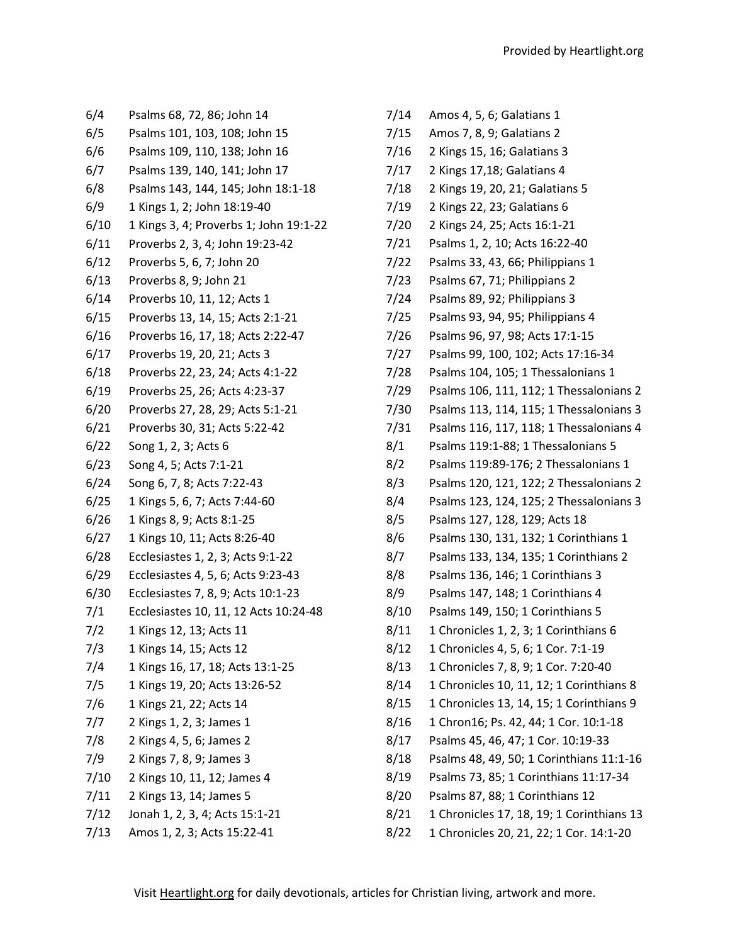7/14 Amos 4, 5, 6; Galatians 1

- 6/4 Psalms 68, 72, 86; John 14 6/5 Psalms 101, 103, 108; John 15 6/6 Psalms 109, 110, 138; John 16 6/7 Psalms 139, 140, 141; John 17 6/8 Psalms 143, 144, 145; John 18:1-18 6/9 1 Kings 1, 2; John 18:19-40 6/10 1 Kings 3, 4; Proverbs 1; John 19:1-22 6/11 Proverbs 2, 3, 4; John 19:23-42 6/12 Proverbs 5, 6, 7; John 20 6/13 Proverbs 8, 9; John 21 6/14 Proverbs 10, 11, 12; Acts 1 6/15 Proverbs 13, 14, 15; Acts 2:1-21 6/16 Proverbs 16, 17, 18; Acts 2:22-47 6/17 Proverbs 19, 20, 21; Acts 3 6/18 Proverbs 22, 23, 24; Acts 4:1-22 6/19 Proverbs 25, 26; Acts 4:23-37 6/20 Proverbs 27, 28, 29; Acts 5:1-21 6/21 Proverbs 30, 31; Acts 5:22-42 6/22 Song 1, 2, 3; Acts 6 6/23 Song 4, 5; Acts 7:1-21 6/24 Song 6, 7, 8; Acts 7:22-43 6/25 1 Kings 5, 6, 7; Acts 7:44-60 6/26 1 Kings 8, 9; Acts 8:1-25 6/27 1 Kings 10, 11; Acts 8:26-40 6/28 Ecclesiastes 1, 2, 3; Acts 9:1-22 6/29 Ecclesiastes 4, 5, 6; Acts 9:23-43 6/30 Ecclesiastes 7, 8, 9; Acts 10:1-23 7/1 Ecclesiastes 10, 11, 12 Acts 10:24-48 7/2 1 Kings 12, 13; Acts 11 7/3 1 Kings 14, 15; Acts 12 7/4 1 Kings 16, 17, 18; Acts 13:1-25 7/5 1 Kings 19, 20; Acts 13:26-52 7/6 1 Kings 21, 22; Acts 14 7/7 2 Kings 1, 2, 3; James 1 7/8 2 Kings 4, 5, 6; James 2 7/9 2 Kings 7, 8, 9; James 3 7/10 2 Kings 10, 11, 12; James 4 7/11 2 Kings 13, 14; James 5 7/12 Jonah 1, 2, 3, 4; Acts 15:1-21 7/13 Amos 1, 2, 3; Acts 15:22-41
- 7/15 Amos 7, 8, 9; Galatians 2 7/16 2 Kings 15, 16; Galatians 3 7/17 2 Kings 17,18; Galatians 4 7/18 2 Kings 19, 20, 21; Galatians 5 7/19 2 Kings 22, 23; Galatians 6 7/20 2 Kings 24, 25; Acts 16:1-21 7/21 Psalms 1, 2, 10; Acts 16:22-40 7/22 Psalms 33, 43, 66; Philippians 1 7/23 Psalms 67, 71; Philippians 2 7/24 Psalms 89, 92; Philippians 3 7/25 Psalms 93, 94, 95; Philippians 4 7/26 Psalms 96, 97, 98; Acts 17:1-15 7/27 Psalms 99, 100, 102; Acts 17:16-34 7/28 Psalms 104, 105; 1 Thessalonians 1 7/29 Psalms 106, 111, 112; 1 Thessalonians 2 7/30 Psalms 113, 114, 115; 1 Thessalonians 3 7/31 Psalms 116, 117, 118; 1 Thessalonians 4 8/1 Psalms 119:1-88; 1 Thessalonians 5 8/2 Psalms 119:89-176; 2 Thessalonians 1 8/3 Psalms 120, 121, 122; 2 Thessalonians 2 8/4 Psalms 123, 124, 125; 2 Thessalonians 3 8/5 Psalms 127, 128, 129; Acts 18 8/6 Psalms 130, 131, 132; 1 Corinthians 1 8/7 Psalms 133, 134, 135; 1 Corinthians 2 8/8 Psalms 136, 146; 1 Corinthians 3 8/9 Psalms 147, 148; 1 Corinthians 4 8/10 Psalms 149, 150; 1 Corinthians 5 8/11 1 Chronicles 1, 2, 3; 1 Corinthians 6 8/12 1 Chronicles 4, 5, 6; 1 Cor. 7:1-19 8/13 1 Chronicles 7, 8, 9; 1 Cor. 7:20-40 8/14 1 Chronicles 10, 11, 12; 1 Corinthians 8 8/15 1 Chronicles 13, 14, 15; 1 Corinthians 9 8/16 1 Chron16; Ps. 42, 44; 1 Cor. 10:1-18 8/17 Psalms 45, 46, 47; 1 Cor. 10:19-33 8/18 Psalms 48, 49, 50; 1 Corinthians 11:1-16 8/19 Psalms 73, 85; 1 Corinthians 11:17-34 8/20 Psalms 87, 88; 1 Corinthians 12 8/21 1 Chronicles 17, 18, 19; 1 Corinthians 13
- 8/22 1 Chronicles 20, 21, 22; 1 Cor. 14:1-20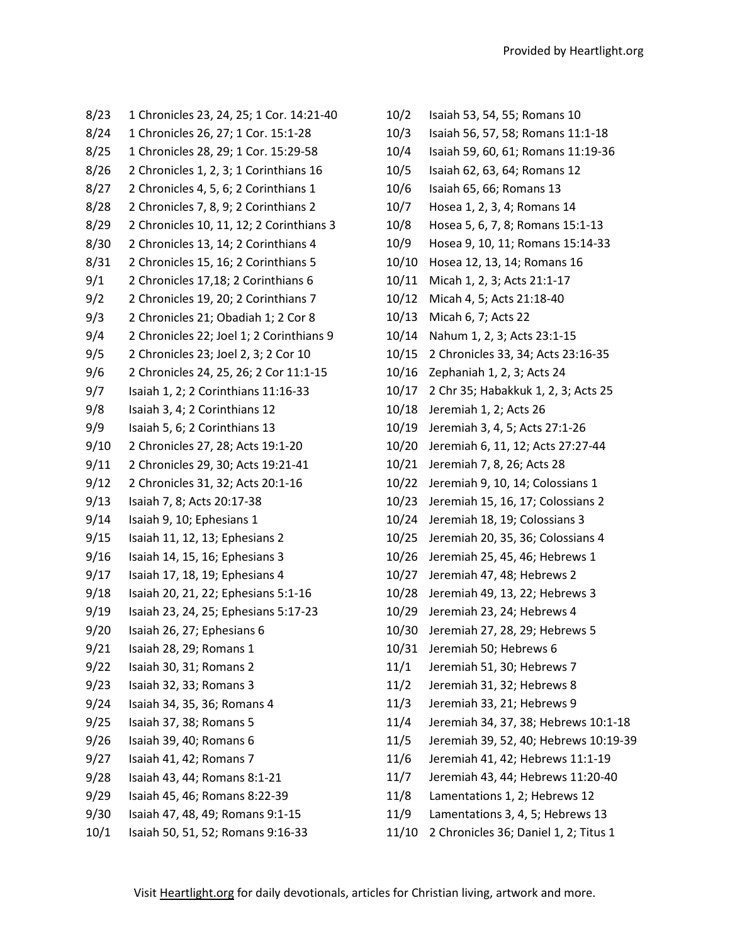- 8/23 1 Chronicles 23, 24, 25; 1 Cor. 14:21-40 8/24 1 Chronicles 26, 27; 1 Cor. 15:1-28 8/25 1 Chronicles 28, 29; 1 Cor. 15:29-58 8/26 2 Chronicles 1, 2, 3; 1 Corinthians 16 8/27 2 Chronicles 4, 5, 6; 2 Corinthians 1 8/28 2 Chronicles 7, 8, 9; 2 Corinthians 2 8/29 2 Chronicles 10, 11, 12; 2 Corinthians 3 8/30 2 Chronicles 13, 14; 2 Corinthians 4 8/31 2 Chronicles 15, 16; 2 Corinthians 5 9/1 2 Chronicles 17,18; 2 Corinthians 6 9/2 2 Chronicles 19, 20; 2 Corinthians 7 9/3 2 Chronicles 21; Obadiah 1; 2 Cor 8 9/4 2 Chronicles 22; Joel 1; 2 Corinthians 9 9/5 2 Chronicles 23; Joel 2, 3; 2 Cor 10 9/6 2 Chronicles 24, 25, 26; 2 Cor 11:1-15 9/7 Isaiah 1, 2; 2 Corinthians 11:16-33 9/8 Isaiah 3, 4; 2 Corinthians 12 9/9 Isaiah 5, 6; 2 Corinthians 13 9/10 2 Chronicles 27, 28; Acts 19:1-20 9/11 2 Chronicles 29, 30; Acts 19:21-41 9/12 2 Chronicles 31, 32; Acts 20:1-16 9/13 Isaiah 7, 8; Acts 20:17-38 9/14 Isaiah 9, 10; Ephesians 1 9/15 Isaiah 11, 12, 13; Ephesians 2 9/16 Isaiah 14, 15, 16; Ephesians 3 9/17 Isaiah 17, 18, 19; Ephesians 4 9/18 Isaiah 20, 21, 22; Ephesians 5:1-16 9/19 Isaiah 23, 24, 25; Ephesians 5:17-23 9/20 Isaiah 26, 27; Ephesians 6 9/21 Isaiah 28, 29; Romans 1 9/22 Isaiah 30, 31; Romans 2 9/23 Isaiah 32, 33; Romans 3 9/24 Isaiah 34, 35, 36; Romans 4 9/25 Isaiah 37, 38; Romans 5 9/26 Isaiah 39, 40; Romans 6 9/27 Isaiah 41, 42; Romans 7 9/28 Isaiah 43, 44; Romans 8:1-21 9/29 Isaiah 45, 46; Romans 8:22-39 9/30 Isaiah 47, 48, 49; Romans 9:1-15
- 10/1 Isaiah 50, 51, 52; Romans 9:16-33

| 10/2  | Isaiah 53, 54, 55; Romans 10          |
|-------|---------------------------------------|
| 10/3  | Isaiah 56, 57, 58; Romans 11:1-18     |
| 10/4  | Isaiah 59, 60, 61; Romans 11:19-36    |
| 10/5  | Isaiah 62, 63, 64; Romans 12          |
| 10/6  | Isaiah 65, 66; Romans 13              |
| 10/7  | Hosea 1, 2, 3, 4; Romans 14           |
| 10/8  | Hosea 5, 6, 7, 8; Romans 15:1-13      |
| 10/9  | Hosea 9, 10, 11; Romans 15:14-33      |
| 10/10 | Hosea 12, 13, 14; Romans 16           |
| 10/11 | Micah 1, 2, 3; Acts 21:1-17           |
| 10/12 | Micah 4, 5; Acts 21:18-40             |
| 10/13 | Micah 6, 7; Acts 22                   |
| 10/14 | Nahum 1, 2, 3; Acts 23:1-15           |
| 10/15 | 2 Chronicles 33, 34; Acts 23:16-35    |
| 10/16 | Zephaniah 1, 2, 3; Acts 24            |
| 10/17 | 2 Chr 35; Habakkuk 1, 2, 3; Acts 25   |
| 10/18 | Jeremiah 1, 2; Acts 26                |
| 10/19 | Jeremiah 3, 4, 5; Acts 27:1-26        |
| 10/20 | Jeremiah 6, 11, 12; Acts 27:27-44     |
| 10/21 | Jeremiah 7, 8, 26; Acts 28            |
| 10/22 | Jeremiah 9, 10, 14; Colossians 1      |
| 10/23 | Jeremiah 15, 16, 17; Colossians 2     |
| 10/24 | Jeremiah 18, 19; Colossians 3         |
| 10/25 | Jeremiah 20, 35, 36; Colossians 4     |
| 10/26 | Jeremiah 25, 45, 46; Hebrews 1        |
| 10/27 | Jeremiah 47, 48; Hebrews 2            |
| 10/28 | Jeremiah 49, 13, 22; Hebrews 3        |
| 10/29 | Jeremiah 23, 24; Hebrews 4            |
| 10/30 | Jeremiah 27, 28, 29; Hebrews 5        |
| 10/31 | Jeremiah 50; Hebrews 6                |
| 11/1  | Jeremiah 51, 30; Hebrews 7            |
| 11/2  | Jeremiah 31, 32; Hebrews 8            |
| 11/3  | Jeremiah 33, 21; Hebrews 9            |
| 11/4  | Jeremiah 34, 37, 38; Hebrews 10:1-18  |
| 11/5  | Jeremiah 39, 52, 40; Hebrews 10:19-39 |
| 11/6  | Jeremiah 41, 42; Hebrews 11:1-19      |
| 11/7  | Jeremiah 43, 44; Hebrews 11:20-40     |
| 11/8  | Lamentations 1, 2; Hebrews 12         |

- 11/9 Lamentations 3, 4, 5; Hebrews 13
- 11/10 2 Chronicles 36; Daniel 1, 2; Titus 1